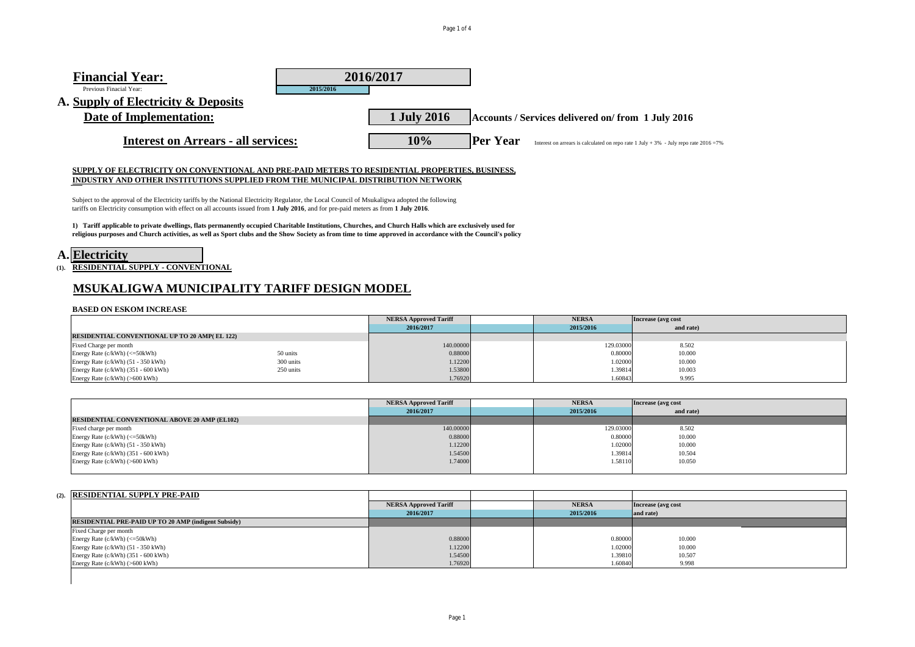# **Financial Year:**  Previous Finacial Year: **2015/2016 A. Supply of Electricity & Deposits Date of Implementation: 1 July 2016 Accounts / Services delivered on/ from 1 July 2016 Interest on Arrears - all services: 10% Per Year** Interest on arrears is calculated on repo rate 1 July + 3% - July repo rate 2016 =7% **2016/2017**

## **SUPPLY OF ELECTRICITY ON CONVENTIONAL AND PRE-PAID METERS TO RESIDENTIAL PROPERTIES, BUSINESS, INDUSTRY AND OTHER INSTITUTIONS SUPPLIED FROM THE MUNICIPAL DISTRIBUTION NETWORK**

Subject to the approval of the Electricity tariffs by the National Electricity Regulator, the Local Council of Msukaligwa adopted the following tariffs on Electricity consumption with effect on all accounts issued from **1 July 2016**, and for pre-paid meters as from **1 July 2016**.

**1) Tariff applicable to private dwellings, flats permanently occupied Charitable Institutions, Churches, and Church Halls which are exclusively used for religious purposes and Church activities, as well as Sport clubs and the Show Society as from time to time approved in accordance with the Council's policy**

|  | A. Electricity |
|--|----------------|
|--|----------------|

**(1). RESIDENTIAL SUPPLY - CONVENTIONAL**

## **MSUKALIGWA MUNICIPALITY TARIFF DESIGN MODEL**

### **BASED ON ESKOM INCREASE**

|                                                      |           | <b>NERSA Approved Tariff</b> | <b>NERSA</b> | Increase (avg cost) |  |
|------------------------------------------------------|-----------|------------------------------|--------------|---------------------|--|
|                                                      |           | 2016/2017                    | 2015/2016    | and rate)           |  |
| <b>RESIDENTIAL CONVENTIONAL UP TO 20 AMP(EL 122)</b> |           |                              |              |                     |  |
| Fixed Charge per month                               |           | 140.00000                    | 129.03000    | 8.502               |  |
| Energy Rate (c/kWh) (<=50kWh)                        | 50 units  | 0.88000                      | 0.80000      | 10.000              |  |
| Energy Rate $(c/kWh)$ (51 - 350 kWh)                 | 300 units | 1.12200                      | 1.02000      | 10.000              |  |
| Energy Rate (c/kWh) (351 - 600 kWh)                  | 250 units | 1.53800                      | 1.39814      | 10.003              |  |
| Energy Rate (c/kWh) (>600 kWh)                       |           | 1.76920                      | 1.60843      | 9.995               |  |

|                                                      | <b>NERSA Approved Tariff</b> | <b>NERSA</b> | Increase (avg cost) |  |
|------------------------------------------------------|------------------------------|--------------|---------------------|--|
|                                                      | 2016/2017                    | 2015/2016    | and rate)           |  |
| <b>RESIDENTIAL CONVENTIONAL ABOVE 20 AMP (EL102)</b> |                              |              |                     |  |
| Fixed charge per month                               | 140.00000                    | 129.03000    | 8.502               |  |
| Energy Rate (c/kWh) (<=50kWh)                        | 0.88000                      | 0.80000      | 10.000              |  |
| Energy Rate (c/kWh) (51 - 350 kWh)                   | 1.12200                      | 1.02000      | 10.000              |  |
| Energy Rate (c/kWh) (351 - 600 kWh)                  | 1.54500                      | 1.39814      | 10.504              |  |
| Energy Rate $(c/kWh)$ (>600 kWh)                     | 1.74000                      | 1.58110      | 10.050              |  |
|                                                      |                              |              |                     |  |

| (2). <b>RESIDENTIAL SUPPLY PRE-PAID</b>                     |                              |              |                     |
|-------------------------------------------------------------|------------------------------|--------------|---------------------|
|                                                             | <b>NERSA Approved Tariff</b> | <b>NERSA</b> | Increase (avg cost) |
|                                                             | 2016/2017                    | 2015/2016    | and rate)           |
| <b>RESIDENTIAL PRE-PAID UP TO 20 AMP (indigent Subsidy)</b> |                              |              |                     |
| Fixed Charge per month                                      |                              |              |                     |
| Energy Rate (c/kWh) (<=50kWh)                               | 0.88000                      | 0.80000      | 10.000              |
| Energy Rate (c/kWh) (51 - 350 kWh)                          | 1.12200                      | 1.02000      | 10.000              |
| Energy Rate (c/kWh) (351 - 600 kWh)                         | 1.54500                      | 1.39810      | 10.507              |
| Energy Rate (c/kWh) (>600 kWh)                              | 1.76920                      | 1.60840      | 9.998               |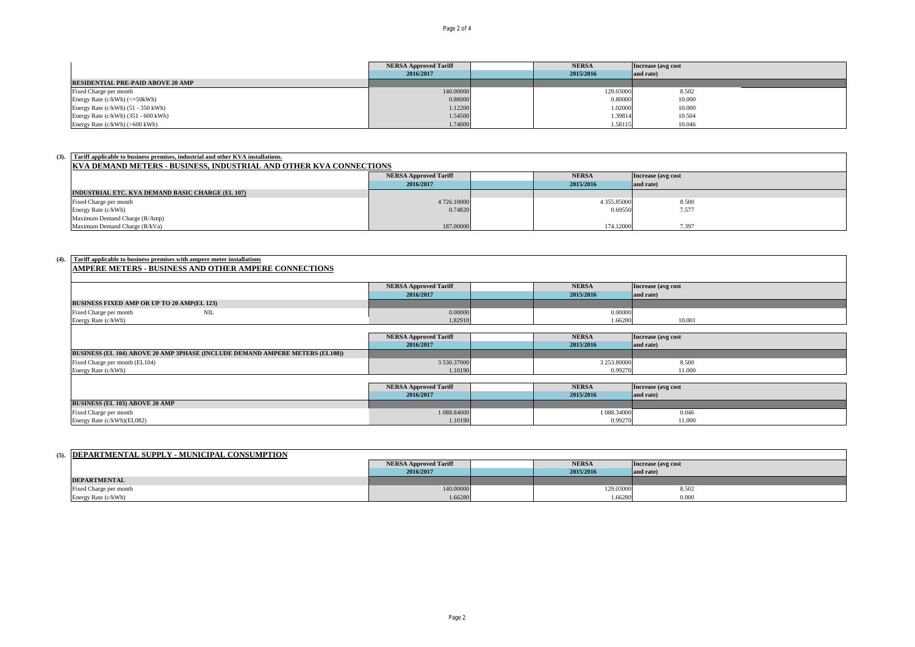|                                          | <b>NERSA Approved Tariff</b> | <b>NERSA</b> | Increase (avg cost) |
|------------------------------------------|------------------------------|--------------|---------------------|
|                                          | 2016/2017                    | 2015/2016    | and rate)           |
| <b>RESIDENTIAL PRE-PAID ABOVE 20 AMP</b> |                              |              |                     |
| Fixed Charge per month                   | 140.00000                    | 129.03000    | 8.502               |
| Energy Rate $(c/kWh)$ $(<=50kWh)$        | 0.88000                      | 0.80000      | 10.000              |
| Energy Rate (c/kWh) (51 - 350 kWh)       | 1.12200                      | 1.02000      | 10.000              |
| Energy Rate (c/kWh) (351 - 600 kWh)      | 1.54500                      | 1.39814      | 10.504              |
| Energy Rate (c/kWh) (>600 kWh)           | 1.74000                      | 1.58115      | 10.046              |

| (3). Tariff applicable to business premises, industrial and other KVA installations. |             |  |             |           |  |  |  |
|--------------------------------------------------------------------------------------|-------------|--|-------------|-----------|--|--|--|
| <b>KVA DEMAND METERS - BUSINESS, INDUSTRIAL AND OTHER KVA CONNECTIONS</b>            |             |  |             |           |  |  |  |
| <b>NERSA</b><br><b>NERSA Approved Tariff</b><br>Increase (avg cost                   |             |  |             |           |  |  |  |
|                                                                                      | 2016/2017   |  | 2015/2016   | and rate) |  |  |  |
| INDUSTRIAL ETC. KVA DEMAND BASIC CHARGE (EL 107)                                     |             |  |             |           |  |  |  |
| Fixed Charge per month                                                               | 4 726,10000 |  | 4 355.85000 | 8.500     |  |  |  |
| Energy Rate (c/kWh)                                                                  | 0.74820     |  | 0.69550     | 7.577     |  |  |  |
| Maximum Demand Charge (R/Amp)                                                        |             |  |             |           |  |  |  |
| Maximum Demand Charge (R/kVa)                                                        | 187.00000   |  | 174.12000   | 7.397     |  |  |  |

# **(4). Tariff applicable to business premises with ampere meter installations AMPERE METERS - BUSINESS AND OTHER AMPERE CONNECTIONS**

|                                                                                     | <b>NERSA Approved Tariff</b> | <b>NERSA</b> | Increase (avg cost |
|-------------------------------------------------------------------------------------|------------------------------|--------------|--------------------|
|                                                                                     | 2016/2017                    | 2015/2016    | and rate)          |
| <b>BUSINESS FIXED AMP OR UP TO 20 AMP(EL 123)</b>                                   |                              |              |                    |
| Fixed Charge per month<br>NIL                                                       | 0.00000                      | 0.00000      |                    |
| Energy Rate (c/kWh)                                                                 | 1.82910                      | 1.66280      | 10.001             |
|                                                                                     |                              |              |                    |
|                                                                                     | <b>NERSA Approved Tariff</b> | <b>NERSA</b> | Increase (avg cost |
|                                                                                     | 2016/2017                    | 2015/2016    | and rate)          |
| <b>BUSINESS (EL 104) ABOVE 20 AMP 3PHASE (INCLUDE DEMAND AMPERE METERS (EL108))</b> |                              |              |                    |
| Fixed Charge per month (EL104)                                                      | 3 530.37000                  | 3 253.80000  | 8.500              |
| Energy Rate (c/kWh)                                                                 | 1.10190                      | 0.99270      | 11.000             |
|                                                                                     |                              |              |                    |
|                                                                                     | <b>NERSA Approved Tariff</b> | <b>NERSA</b> | Increase (avg cost |
|                                                                                     | 2016/2017                    | 2015/2016    | and rate)          |
| <b>BUSINESS (EL 103) ABOVE 20 AMP</b>                                               |                              |              |                    |
| Fixed Charge per month                                                              | 1 088.84000                  | 1 088,34000  | 0.046              |
| Energy Rate (c/kWh)(EL082)                                                          | 1.10190                      | 0.99270      | 11.000             |

| (5). <b>IDEPARTMENTAL SUPPLY - MUNICIPAL CONSUMPTION</b> |                              |              |                     |  |
|----------------------------------------------------------|------------------------------|--------------|---------------------|--|
|                                                          | <b>NERSA Approved Tariff</b> | <b>NERSA</b> | Increase (avg cost) |  |
|                                                          | 2016/2017                    | 2015/2016    | and rate)           |  |
| <b>DEPARTMENTAL</b>                                      |                              |              |                     |  |
| Fixed Charge per month                                   | 140.00000                    | 129.03000    | 8.502               |  |
| Energy Rate (c/kWh)                                      | 1.66280                      | .66280       | 0.000               |  |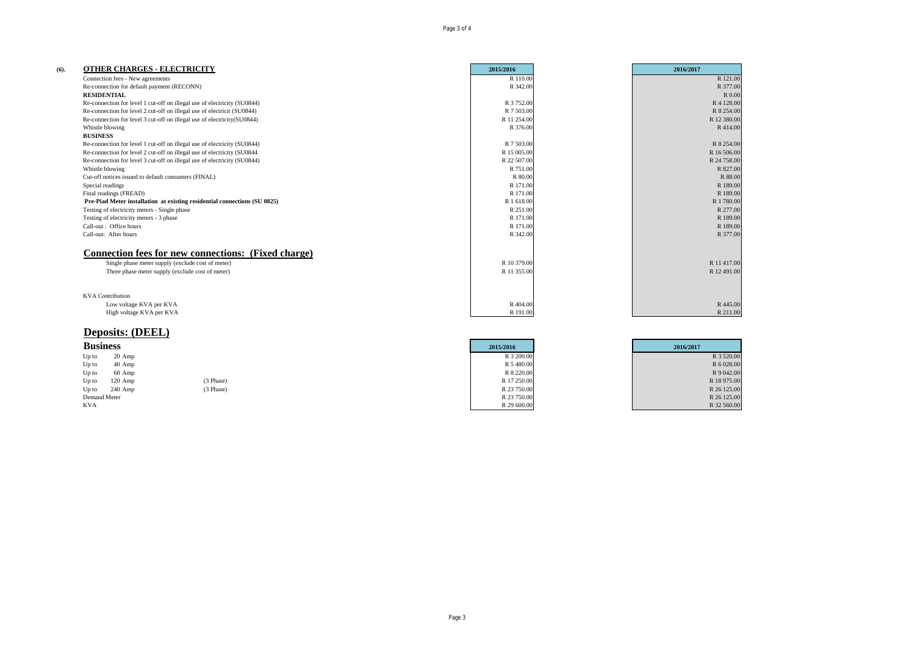| (6). | <b>OTHER CHARGES - ELECTRICITY</b>                                        | 2015/2016   | 2016/2017   |
|------|---------------------------------------------------------------------------|-------------|-------------|
|      | Connection fees - New agreements                                          | R 110.00    | R 121.00    |
|      | Re-connection for default payment (RECONN)                                | R 342.00    | R 377.00    |
|      | <b>RESIDENTIAL</b>                                                        |             | R 0.00      |
|      | Re-connection for level 1 cut-off on illegal use of electricity (SU0844)  | R 3 752.00  | R 4 128,00  |
|      | Re-connection for level 2 cut-off on illegal use of electricit (SU0844)   | R 7 503.00  | R 8 254.00  |
|      | Re-connection for level 3 cut-off on illegal use of electricity (SU0844)  | R 11 254.00 | R 12 380.00 |
|      | Whistle blowing                                                           | R 376.00    | R414.00     |
|      | <b>BUSINESS</b>                                                           |             |             |
|      | Re-connection for level 1 cut-off on illegal use of electricity (SU0844)  | R 7 503.00  | R 8 254,00  |
|      | Re-connection for level 2 cut-off on illegal use of electricity (SU0844   | R 15 005.00 | R 16 506.00 |
|      | Re-connection for level 3 cut-off on illegal use of electricity (SU0844)  | R 22 507.00 | R 24 758.00 |
|      | Whistle blowing                                                           | R 751.00    | R 827.00    |
|      | Cut-off notices issued to default consumers (FINAL)                       | R 80.00     | R 88.00     |
|      | Special readings                                                          | R 171.00    | R 189.00    |
|      | Final readings (FREAD)                                                    | R 171.00    | R 189.00    |
|      | Pre-Piad Meter installation at existing residential connections (SU 0825) | R 1 618.00  | R 1 780.00  |
|      | Testing of electricity meters - Single phase                              | R 251.00    | R 277.00    |
|      | Testing of electricity meters - 3 phase                                   | R 171.00    | R 189.00    |
|      | Call-out: Office hours                                                    | R 171.00    | R 189.00    |
|      | Call-out: After hours                                                     | R 342.00    | R 377.00    |
|      | <b>Connection fees for new connections: (Fixed charge)</b>                |             |             |
|      | Single phase meter supply (exclude cost of meter)                         | R 10 379.00 | R 11 417.00 |
|      | Three phase meter supply (exclude cost of meter)                          | R 11 355.00 | R 12 491.00 |
|      |                                                                           |             |             |
|      | <b>KVA</b> Contribution                                                   |             |             |
|      | Low voltage KVA per KVA                                                   | R 404.00    | R 445.00    |
|      | High voltage KVA per KVA                                                  | R 191.00    | R 211.00    |
|      |                                                                           |             |             |

## **Deposits: (DEEL)**

|              | <b>Business</b> |           | 2015/2016   | 2016/2017   |
|--------------|-----------------|-----------|-------------|-------------|
| $Up$ to      | $20$ Amp        |           | R 3 200.00  | R 3 520.00  |
| $Up$ to      | $40$ Amp        |           | R 5 480.00  | R 6 028.00  |
| $Up$ to      | $60$ Amp        |           | R 8 220.00  | R 9 042.00  |
| $Up$ to      | $120$ Amp       | (3 Phase) | R 17 250.00 | R 18 975.00 |
| $Up$ to      | $240$ Amp       | (3 Phase) | R 23 750.00 | R 26 125.00 |
| Demand Meter |                 |           | R 23 750.00 | R 26 125.00 |
| KVA          |                 |           | R 29 600.00 | R 32 560.00 |